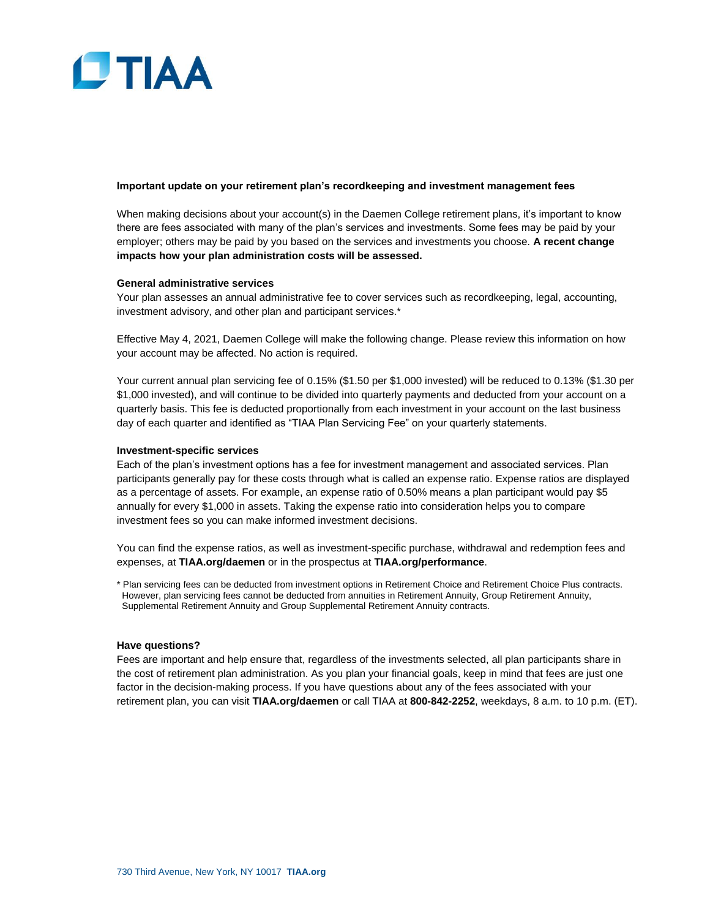

## **Important update on your retirement plan's recordkeeping and investment management fees**

When making decisions about your account(s) in the Daemen College retirement plans, it's important to know there are fees associated with many of the plan's services and investments. Some fees may be paid by your employer; others may be paid by you based on the services and investments you choose. **A recent change impacts how your plan administration costs will be assessed.**

## **General administrative services**

Your plan assesses an annual administrative fee to cover services such as recordkeeping, legal, accounting, investment advisory, and other plan and participant services.\*

Effective May 4, 2021, Daemen College will make the following change. Please review this information on how your account may be affected. No action is required.

Your current annual plan servicing fee of 0.15% (\$1.50 per \$1,000 invested) will be reduced to 0.13% (\$1.30 per \$1,000 invested), and will continue to be divided into quarterly payments and deducted from your account on a quarterly basis. This fee is deducted proportionally from each investment in your account on the last business day of each quarter and identified as "TIAA Plan Servicing Fee" on your quarterly statements.

## **Investment-specific services**

Each of the plan's investment options has a fee for investment management and associated services. Plan participants generally pay for these costs through what is called an expense ratio. Expense ratios are displayed as a percentage of assets. For example, an expense ratio of 0.50% means a plan participant would pay \$5 annually for every \$1,000 in assets. Taking the expense ratio into consideration helps you to compare investment fees so you can make informed investment decisions.

You can find the expense ratios, as well as investment-specific purchase, withdrawal and redemption fees and expenses, at **TIAA.org/daemen** or in the prospectus at **TIAA.org/performance**.

\* Plan servicing fees can be deducted from investment options in Retirement Choice and Retirement Choice Plus contracts. However, plan servicing fees cannot be deducted from annuities in Retirement Annuity, Group Retirement Annuity, Supplemental Retirement Annuity and Group Supplemental Retirement Annuity contracts.

## **Have questions?**

Fees are important and help ensure that, regardless of the investments selected, all plan participants share in the cost of retirement plan administration. As you plan your financial goals, keep in mind that fees are just one factor in the decision-making process. If you have questions about any of the fees associated with your retirement plan, you can visit **TIAA.org/daemen** or call TIAA at **800-842-2252**, weekdays, 8 a.m. to 10 p.m. (ET).